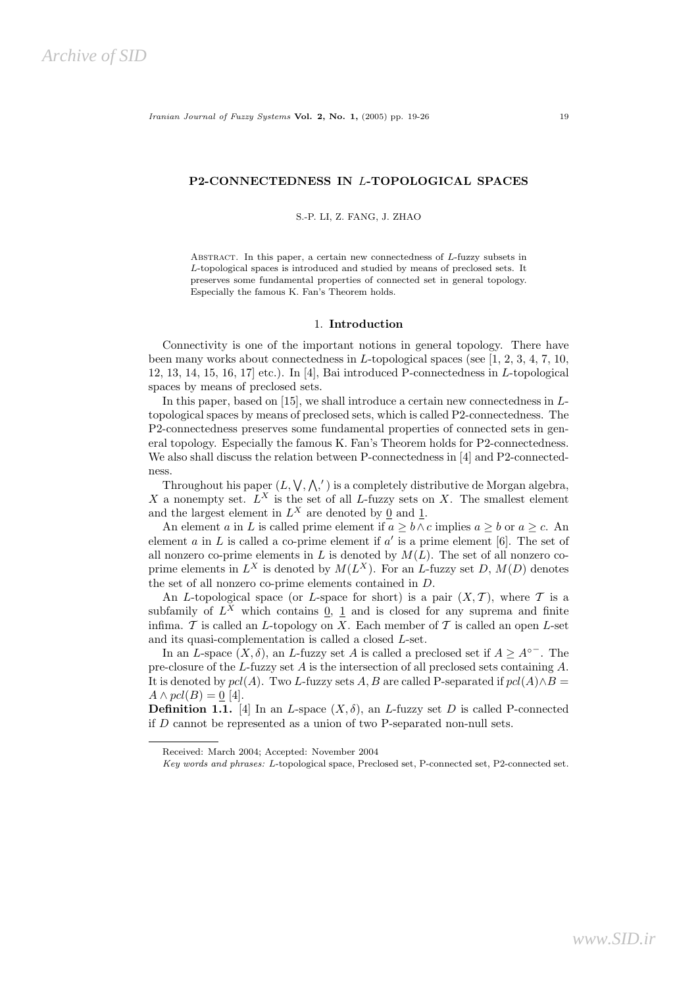## P2-CONNECTEDNESS IN L-TOPOLOGICAL SPACES

S.-P. LI, Z. FANG, J. ZHAO

Abstract. In this paper, a certain new connectedness of L-fuzzy subsets in L-topological spaces is introduced and studied by means of preclosed sets. It preserves some fundamental properties of connected set in general topology. Especially the famous K. Fan's Theorem holds.

#### 1. Introduction

Connectivity is one of the important notions in general topology. There have been many works about connectedness in L-topological spaces (see [1, 2, 3, 4, 7, 10, 12, 13, 14, 15, 16, 17] etc.). In [4], Bai introduced P-connectedness in L-topological spaces by means of preclosed sets.

In this paper, based on [15], we shall introduce a certain new connectedness in  $L$ topological spaces by means of preclosed sets, which is called P2-connectedness. The P2-connectedness preserves some fundamental properties of connected sets in general topology. Especially the famous K. Fan's Theorem holds for P2-connectedness. We also shall discuss the relation between P-connectedness in [4] and P2-connectedness.

Throughout his paper  $(L, \vee, \wedge,')$  is a completely distributive de Morgan algebra, X a nonempty set.  $L^X$  is the set of all L-fuzzy sets on X. The smallest element and the largest element in  $L^X$  are denoted by  $\underline{0}$  and  $\underline{1}$ .

An element a in L is called prime element if  $a \geq b \wedge c$  implies  $a \geq b$  or  $a \geq c$ . An element  $a$  in  $L$  is called a co-prime element if  $a'$  is a prime element [6]. The set of all nonzero co-prime elements in  $L$  is denoted by  $M(L)$ . The set of all nonzero coprime elements in  $L^X$  is denoted by  $M(L^X)$ . For an L-fuzzy set D,  $M(D)$  denotes the set of all nonzero co-prime elements contained in D.

An L-topological space (or L-space for short) is a pair  $(X, \mathcal{T})$ , where  $\mathcal T$  is a subfamily of  $L^X$  which contains  $\underline{0}$ ,  $\underline{1}$  and is closed for any suprema and finite infima.  $\mathcal T$  is called an L-topology on X. Each member of  $\mathcal T$  is called an open L-set and its quasi-complementation is called a closed L-set.

In an L-space  $(X, \delta)$ , an L-fuzzy set A is called a preclosed set if  $A \geq A^{\circ}$ . The pre-closure of the L-fuzzy set  $A$  is the intersection of all preclosed sets containing  $A$ . It is denoted by  $pel(A)$ . Two L-fuzzy sets A, B are called P-separated if  $pel(A) \wedge B =$  $A \wedge pcl(B) = \underline{0}$  [4].

**Definition 1.1.** [4] In an *L*-space  $(X, \delta)$ , an *L*-fuzzy set *D* is called P-connected if  $D$  cannot be represented as a union of two P-separated non-null sets.

Received: March 2004; Accepted: November 2004

Key words and phrases: L-topological space, Preclosed set, P-connected set, P2-connected set.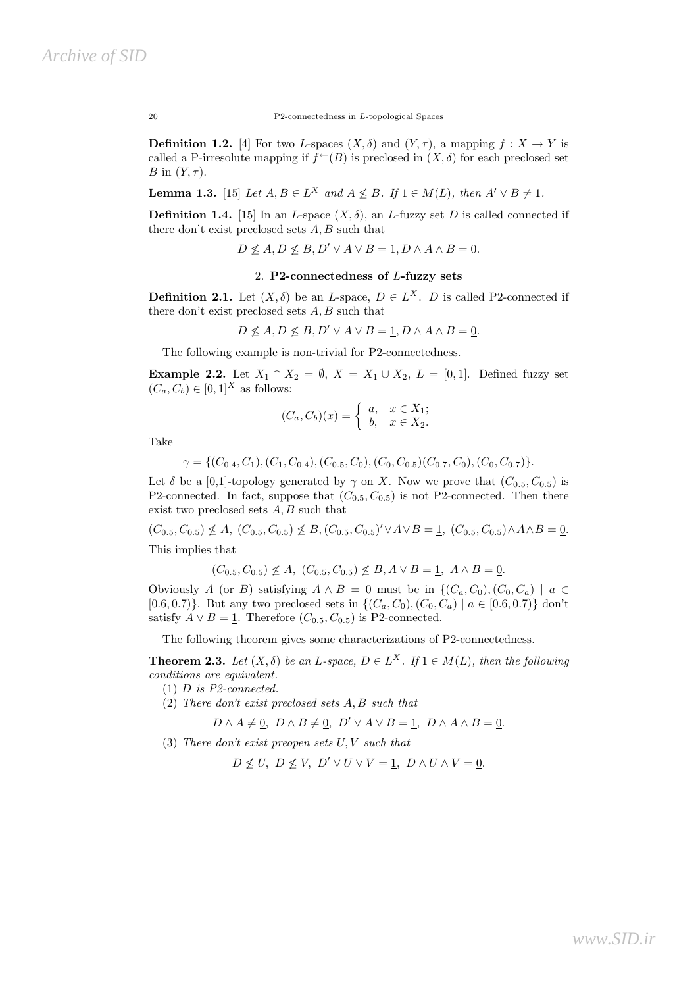20 P2-connectedness in L-topological Spaces

**Definition 1.2.** [4] For two L-spaces  $(X, \delta)$  and  $(Y, \tau)$ , a mapping  $f : X \to Y$  is called a P-irresolute mapping if  $f^{\leftarrow}(B)$  is preclosed in  $(X, \delta)$  for each preclosed set B in  $(Y, \tau)$ .

**Lemma 1.3.** [15] Let  $A, B \in L^X$  and  $A \nleq B$ . If  $1 \in M(L)$ , then  $A' \vee B \neq \underline{1}$ .

**Definition 1.4.** [15] In an *L*-space  $(X, \delta)$ , an *L*-fuzzy set *D* is called connected if there don't exist preclosed sets  $A, B$  such that

 $D \nleq A, D \nleq B, D' \vee A \vee B = 1, D \wedge A \wedge B = 0.$ 

# 2. P2-connectedness of L-fuzzy sets

**Definition 2.1.** Let  $(X, \delta)$  be an L-space,  $D \in L^X$ . D is called P2-connected if there don't exist preclosed sets  $A, B$  such that

$$
D \nleq A, D \nleq B, D' \vee A \vee B = \underline{1}, D \wedge A \wedge B = \underline{0}.
$$

The following example is non-trivial for P2-connectedness.

**Example 2.2.** Let  $X_1 \cap X_2 = \emptyset$ ,  $X = X_1 \cup X_2$ ,  $L = [0, 1]$ . Defined fuzzy set  $(C_a, C_b) \in [0, 1]^X$  as follows:

$$
(C_a, C_b)(x) = \begin{cases} a, & x \in X_1; \\ b, & x \in X_2. \end{cases}
$$

Take

$$
\gamma = \{ (C_{0.4}, C_1), (C_1, C_{0.4}), (C_{0.5}, C_0), (C_0, C_{0.5}) (C_{0.7}, C_0), (C_0, C_{0.7}) \}.
$$

Let  $\delta$  be a [0,1]-topology generated by  $\gamma$  on X. Now we prove that  $(C_{0.5}, C_{0.5})$  is P2-connected. In fact, suppose that  $(C_{0.5}, C_{0.5})$  is not P2-connected. Then there exist two preclosed sets A, B such that

 $(C_{0.5}, C_{0.5}) \nleq A, (C_{0.5}, C_{0.5}) \nleq B, (C_{0.5}, C_{0.5})' \vee A \vee B = \underline{1}, (C_{0.5}, C_{0.5}) \wedge A \wedge B = \underline{0}.$ 

This implies that

$$
(C_{0.5}, C_{0.5}) \nleq A
$$
,  $(C_{0.5}, C_{0.5}) \nleq B$ ,  $A \vee B = 1$ ,  $A \wedge B = 0$ .

Obviously A (or B) satisfying  $A \wedge B = 0$  must be in  $\{(C_a, C_0), (C_0, C_a) \mid a \in$ [0.6, 0.7]. But any two preclosed sets in  $\{(C_a, C_0), (C_0, C_a) \mid a \in [0.6, 0.7)\}\$  don't satisfy  $A \vee B = 1$ . Therefore  $(C_{0.5}, C_{0.5})$  is P2-connected.

The following theorem gives some characterizations of P2-connectedness.

**Theorem 2.3.** Let  $(X, \delta)$  be an L-space,  $D \in L^X$ . If  $1 \in M(L)$ , then the following conditions are equivalent.

 $(1)$  D is P2-connected.

(2) There don't exist preclosed sets A, B such that

$$
D \wedge A \neq \underline{0}, \ D \wedge B \neq \underline{0}, \ D' \vee A \vee B = \underline{1}, \ D \wedge A \wedge B = \underline{0}.
$$

(3) There don't exist preopen sets  $U, V$  such that

 $D \nless U, D \nless V, D' \vee U \vee V = 1, D \wedge U \wedge V = 0.$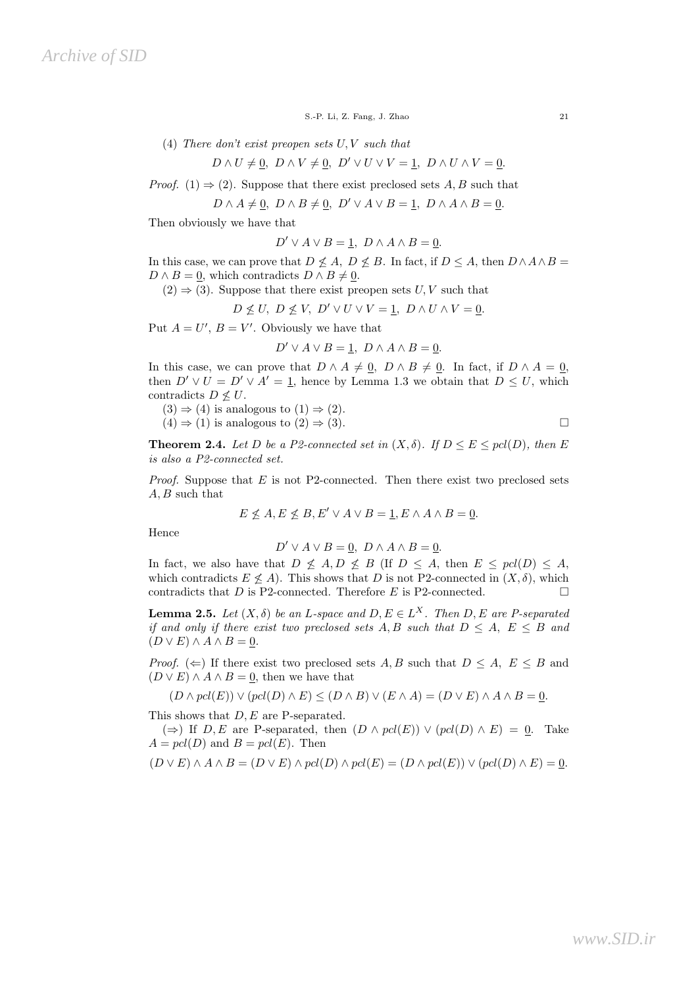S.-P. Li, Z. Fang, J. Zhao 21

(4) There don't exist preopen sets  $U, V$  such that

 $D \wedge U \neq 0$ ,  $D \wedge V \neq 0$ ,  $D' \vee U \vee V = 1$ ,  $D \wedge U \wedge V = 0$ .

*Proof.* (1)  $\Rightarrow$  (2). Suppose that there exist preclosed sets A, B such that

 $D \wedge A \neq 0$ ,  $D \wedge B \neq 0$ ,  $D' \vee A \vee B = 1$ ,  $D \wedge A \wedge B = 0$ .

Then obviously we have that

$$
D' \vee A \vee B = \underline{1}, \ D \wedge A \wedge B = \underline{0}.
$$

In this case, we can prove that  $D \nleq A$ ,  $D \nleq B$ . In fact, if  $D \leq A$ , then  $D \wedge A \wedge B =$  $D \wedge B = 0$ , which contradicts  $D \wedge B \neq 0$ .

 $(2) \Rightarrow (3)$ . Suppose that there exist preopen sets U, V such that

 $D \nleq U, D \nleq V, D' \vee U \vee V = 1, D \wedge U \wedge V = 0.$ 

Put  $A = U'$ ,  $B = V'$ . Obviously we have that

$$
D' \vee A \vee B = \underline{1}, \ D \wedge A \wedge B = \underline{0}.
$$

In this case, we can prove that  $D \wedge A \neq \underline{0}$ ,  $D \wedge B \neq \underline{0}$ . In fact, if  $D \wedge A = \underline{0}$ , then  $D' \vee U = D' \vee A' = 1$ , hence by Lemma 1.3 we obtain that  $D \leq U$ , which contradicts  $D \not\leq U$ .

 $(3) \Rightarrow (4)$  is analogous to  $(1) \Rightarrow (2)$ .

 $(4) \Rightarrow (1)$  is analogous to  $(2) \Rightarrow (3)$ .

**Theorem 2.4.** Let D be a P2-connected set in  $(X, \delta)$ . If  $D \le E \le pd(D)$ , then E is also a P2-connected set.

*Proof.* Suppose that  $E$  is not P2-connected. Then there exist two preclosed sets  $A, B$  such that

$$
E \nleq A, E \nleq B, E' \vee A \vee B = 1, E \wedge A \wedge B = 0.
$$

Hence

$$
D' \vee A \vee B = \underline{0}, \ D \wedge A \wedge B = \underline{0}.
$$

In fact, we also have that  $D \nleq A, D \nleq B$  (If  $D \nleq A$ , then  $E \nleq pcl(D) \nleq A$ , which contradicts  $E \nleq A$ ). This shows that D is not P2-connected in  $(X, \delta)$ , which contradicts that  $D$  is P2-connected. Therefore  $E$  is P2-connected.

**Lemma 2.5.** Let  $(X, \delta)$  be an L-space and  $D, E \in L^X$ . Then  $D, E$  are P-separated if and only if there exist two preclosed sets A, B such that  $D \leq A, E \leq B$  and  $(D \vee E) \wedge A \wedge B = 0.$ 

*Proof.* ( $\Leftarrow$ ) If there exist two preclosed sets A, B such that  $D \leq A, E \leq B$  and  $(D \vee E) \wedge A \wedge B = 0$ , then we have that

 $(D \wedge pcl(E)) \vee (pcl(D) \wedge E) \le (D \wedge B) \vee (E \wedge A) = (D \vee E) \wedge A \wedge B = 0.$ 

This shows that  $D, E$  are P-separated.

 $(\Rightarrow)$  If D, E are P-separated, then  $(D \wedge pcl(E)) \vee (pcl(D) \wedge E) = 0$ . Take  $A = pcl(D)$  and  $B = pcl(E)$ . Then

$$
(D \vee E) \wedge A \wedge B = (D \vee E) \wedge pcl(D) \wedge pcl(E) = (D \wedge pcl(E)) \vee (pcl(D) \wedge E) = 0.
$$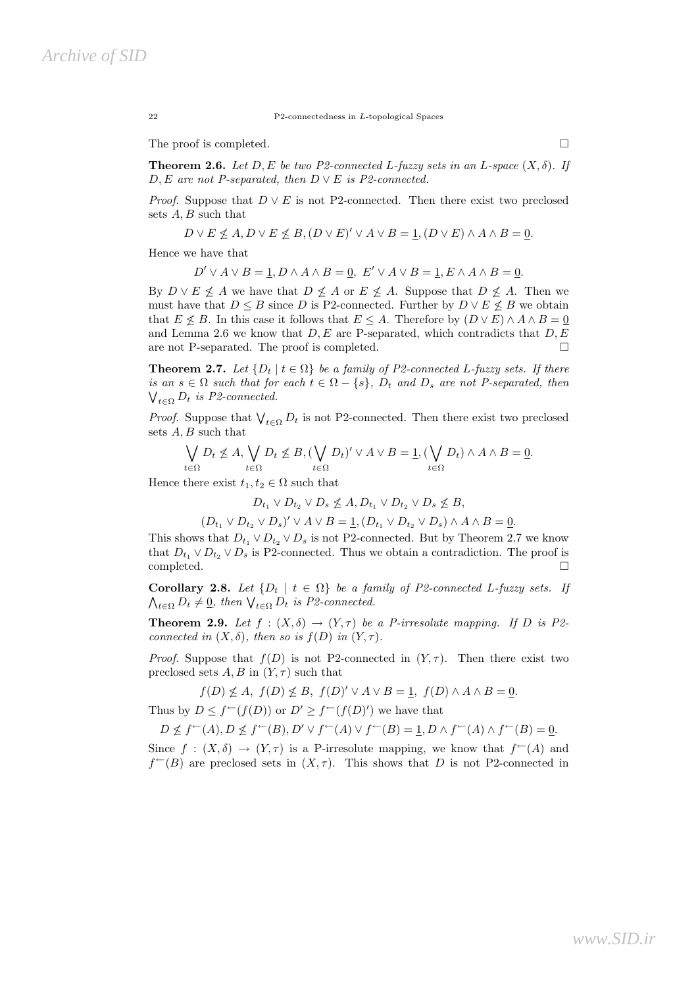22 P2-connectedness in L-topological Spaces

The proof is completed.  $\Box$ 

**Theorem 2.6.** Let D, E be two P2-connected L-fuzzy sets in an L-space  $(X, \delta)$ . If D, E are not P-separated, then  $D \vee E$  is P2-connected.

*Proof.* Suppose that  $D \vee E$  is not P2-connected. Then there exist two preclosed sets A, B such that

$$
D \vee E \nleq A, D \vee E \nleq B, (D \vee E)' \vee A \vee B = \underline{1}, (D \vee E) \wedge A \wedge B = \underline{0}.
$$

Hence we have that

$$
D' \vee A \vee B = \underline{1}, D \wedge A \wedge B = \underline{0}, E' \vee A \vee B = \underline{1}, E \wedge A \wedge B = \underline{0}.
$$

By  $D \vee E \nleq A$  we have that  $D \nleq A$  or  $E \nleq A$ . Suppose that  $D \nleq A$ . Then we must have that  $D \leq B$  since D is P2-connected. Further by  $D \vee E \nleq B$  we obtain that  $E \nleq B$ . In this case it follows that  $E \leq A$ . Therefore by  $(D \vee E) \wedge A \wedge B = 0$ and Lemma 2.6 we know that  $D, E$  are P-separated, which contradicts that  $D, E$ are not P-separated. The proof is completed.  $\Box$ 

**Theorem 2.7.** Let  $\{D_t | t \in \Omega\}$  be a family of P2-connected L-fuzzy sets. If there is an  $s \in \Omega$  such that for each  $t \in \Omega - \{s\}$ ,  $D_t$  and  $D_s$  are not P-separated, then  $\bigvee_{t \in \Omega} D_t$  is P2-connected.

*Proof.* Suppose that  $\bigvee_{t \in \Omega} D_t$  is not P2-connected. Then there exist two preclosed sets A, B such that

$$
\bigvee_{t \in \Omega} D_t \nleq A, \bigvee_{t \in \Omega} D_t \nleq B, \left( \bigvee_{t \in \Omega} D_t \right)' \vee A \vee B = \underline{1}, \left( \bigvee_{t \in \Omega} D_t \right) \wedge A \wedge B = \underline{0}.
$$

Hence there exist  $t_1, t_2 \in \Omega$  such that

$$
D_{t_1} \vee D_{t_2} \vee D_s \nleq A, D_{t_1} \vee D_{t_2} \vee D_s \nleq B,
$$

$$
(D_{t_1} \vee D_{t_2} \vee D_s)' \vee A \vee B = \underline{1}, (D_{t_1} \vee D_{t_2} \vee D_s) \wedge A \wedge B = \underline{0}.
$$

This shows that  $D_{t_1} \vee D_{t_2} \vee D_s$  is not P2-connected. But by Theorem 2.7 we know that  $D_{t_1} \vee D_{t_2} \vee D_s$  is P2-connected. Thus we obtain a contradiction. The proof is completed.

Corollary 2.8. Let  $\{D_t | t \in \Omega\}$  be a family of P2-connected L-fuzzy sets. If  $\bigwedge_{t \in \Omega} D_t \neq \underline{0}$ , then  $\bigvee_{t \in \Omega} D_t$  is P2-connected.

**Theorem 2.9.** Let  $f : (X, \delta) \to (Y, \tau)$  be a P-irresolute mapping. If D is P2connected in  $(X, \delta)$ , then so is  $f(D)$  in  $(Y, \tau)$ .

*Proof.* Suppose that  $f(D)$  is not P2-connected in  $(Y, \tau)$ . Then there exist two preclosed sets  $A, B$  in  $(Y, \tau)$  such that

$$
f(D) \nleq A
$$
,  $f(D) \nleq B$ ,  $f(D)' \vee A \vee B = 1$ ,  $f(D) \wedge A \wedge B = 0$ .

Thus by  $D \leq f^{\leftarrow}(f(D))$  or  $D' \geq f^{\leftarrow}(f(D)')$  we have that

$$
D \nleq f^{\leftarrow}(A), D \nleq f^{\leftarrow}(B), D' \vee f^{\leftarrow}(A) \vee f^{\leftarrow}(B) = \underline{1}, D \wedge f^{\leftarrow}(A) \wedge f^{\leftarrow}(B) = \underline{0}.
$$

Since  $f : (X, \delta) \to (Y, \tau)$  is a P-irresolute mapping, we know that  $f^{\leftarrow}(A)$  and  $f^{\leftarrow}(B)$  are preclosed sets in  $(X, \tau)$ . This shows that D is not P2-connected in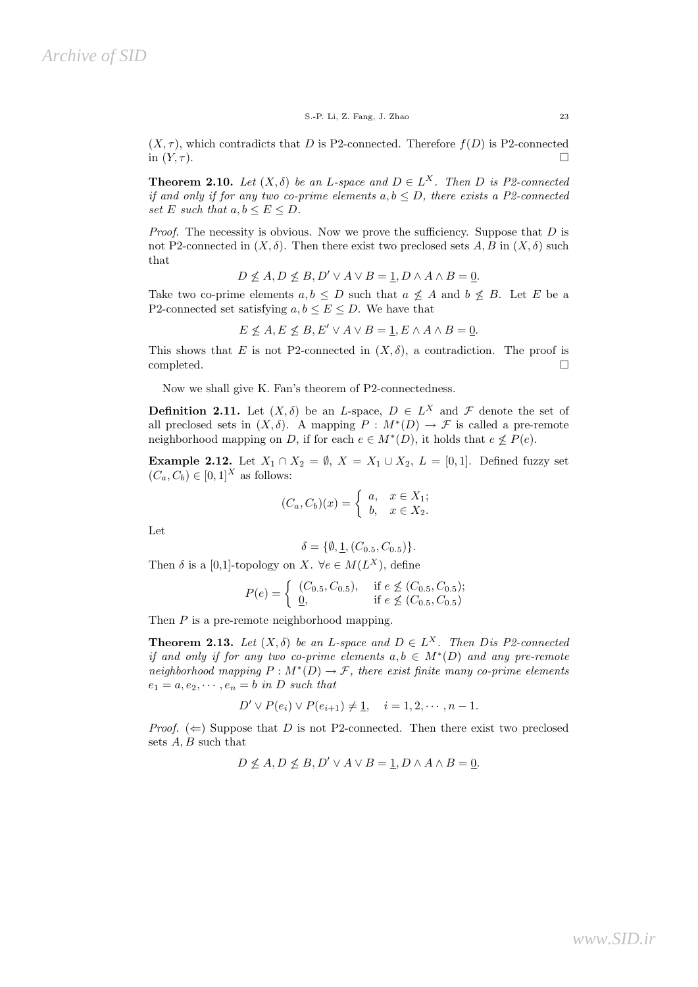$(X, \tau)$ , which contradicts that D is P2-connected. Therefore  $f(D)$  is P2-connected in  $(Y,\tau)$ .

**Theorem 2.10.** Let  $(X, \delta)$  be an L-space and  $D \in L^X$ . Then D is P2-connected if and only if for any two co-prime elements  $a, b \le D$ , there exists a P2-connected set E such that  $a, b \le E \le D$ .

*Proof.* The necessity is obvious. Now we prove the sufficiency. Suppose that  $D$  is not P2-connected in  $(X, \delta)$ . Then there exist two preclosed sets A, B in  $(X, \delta)$  such that

$$
D \nleq A, D \nleq B, D' \vee A \vee B = \underline{1}, D \wedge A \wedge B = \underline{0}.
$$

Take two co-prime elements  $a, b \leq D$  such that  $a \not\leq A$  and  $b \not\leq B$ . Let E be a P2-connected set satisfying  $a, b \le E \le D$ . We have that

$$
E \nleq A, E \nleq B, E' \vee A \vee B = 1, E \wedge A \wedge B = 0.
$$

This shows that E is not P2-connected in  $(X, \delta)$ , a contradiction. The proof is completed.

Now we shall give K. Fan's theorem of P2-connectedness.

**Definition 2.11.** Let  $(X, \delta)$  be an L-space,  $D \in L^X$  and  $\mathcal F$  denote the set of all preclosed sets in  $(X, \delta)$ . A mapping  $P : M^*(D) \to \mathcal{F}$  is called a pre-remote neighborhood mapping on D, if for each  $e \in M^*(D)$ , it holds that  $e \nleq P(e)$ .

Example 2.12. Let  $X_1 \cap X_2 = \emptyset$ ,  $X = X_1 \cup X_2$ ,  $L = [0, 1]$ . Defined fuzzy set  $(C_a, C_b) \in [0, 1]^X$  as follows:

$$
(C_a, C_b)(x) = \begin{cases} a, & x \in X_1; \\ b, & x \in X_2. \end{cases}
$$

Let

$$
\delta = \{ \emptyset, \underline{1}, (C_{0.5}, C_{0.5}) \}.
$$

Then  $\delta$  is a [0,1]-topology on X.  $\forall e \in M(L^X)$ , define

$$
P(e) = \begin{cases} (C_{0.5}, C_{0.5}), & \text{if } e \not\leq (C_{0.5}, C_{0.5});\\ \frac{0}{16}, & \text{if } e \not\leq (C_{0.5}, C_{0.5}) \end{cases}
$$

Then P is a pre-remote neighborhood mapping.

**Theorem 2.13.** Let  $(X, \delta)$  be an L-space and  $D \in L^X$ . Then Dis P2-connected if and only if for any two co-prime elements  $a, b \in M^*(D)$  and any pre-remote neighborhood mapping  $P : M^*(D) \to \mathcal{F}$ , there exist finite many co-prime elements  $e_1 = a, e_2, \cdots, e_n = b$  in D such that

$$
D' \vee P(e_i) \vee P(e_{i+1}) \neq \underline{1}, \quad i = 1, 2, \cdots, n-1.
$$

*Proof.* ( $\Leftarrow$ ) Suppose that D is not P2-connected. Then there exist two preclosed sets  $A, B$  such that

$$
D \nleq A, D \nleq B, D' \vee A \vee B = 1, D \wedge A \wedge B = 0.
$$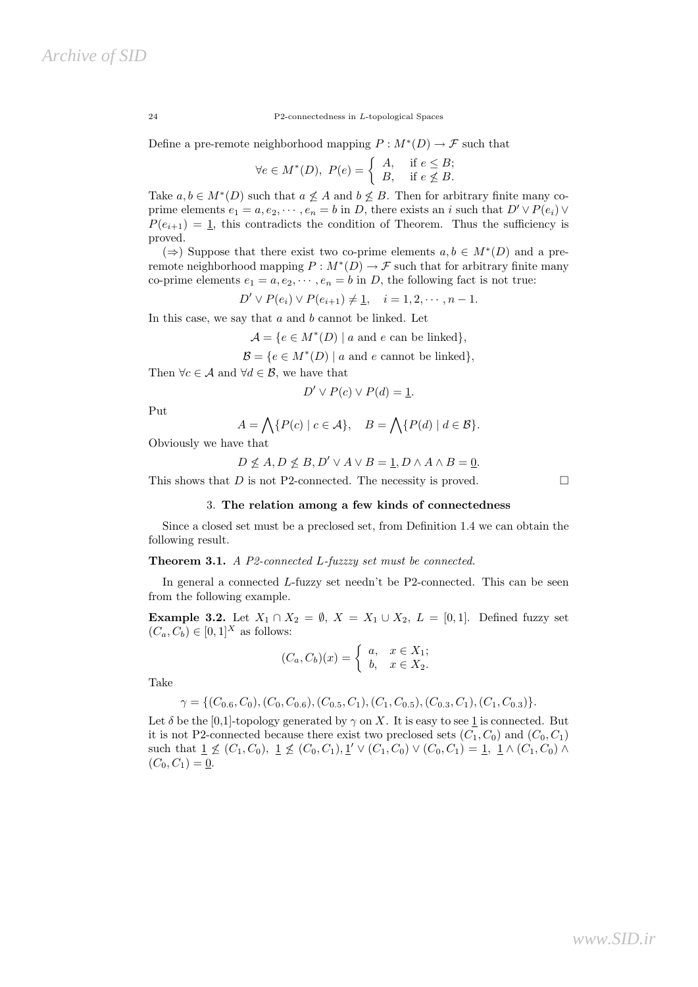24 P2-connectedness in L-topological Spaces

Define a pre-remote neighborhood mapping  $P: M^*(D) \to \mathcal{F}$  such that

$$
\forall e \in M^*(D), \ P(e) = \begin{cases} A, & \text{if } e \leq B; \\ B, & \text{if } e \not\leq B. \end{cases}
$$

Take  $a, b \in M^*(D)$  such that  $a \not\leq A$  and  $b \not\leq B$ . Then for arbitrary finite many coprime elements  $e_1 = a, e_2, \dots, e_n = b$  in D, there exists an i such that  $D' \vee P(e_i) \vee P(e_i)$  $P(e_{i+1}) = 1$ , this contradicts the condition of Theorem. Thus the sufficiency is proved.

( $\Rightarrow$ ) Suppose that there exist two co-prime elements  $a, b \in M^*(D)$  and a preremote neighborhood mapping  $P : M^*(D) \to \mathcal{F}$  such that for arbitrary finite many co-prime elements  $e_1 = a, e_2, \dots, e_n = b$  in D, the following fact is not true:

$$
D' \vee P(e_i) \vee P(e_{i+1}) \neq \underline{1}, \quad i = 1, 2, \cdots, n-1.
$$

In this case, we say that  $a$  and  $b$  cannot be linked. Let

 $\mathcal{A} = \{e \in M^*(D) \mid a \text{ and } e \text{ can be linked}\},\$ 

 $\mathcal{B} = \{e \in M^*(D) \mid a \text{ and } e \text{ cannot be linked}\},\$ 

Then  $\forall c \in \mathcal{A}$  and  $\forall d \in \mathcal{B}$ , we have that

$$
D' \vee P(c) \vee P(d) = \underline{1}.
$$

Put

$$
A = \bigwedge \{ P(c) \mid c \in \mathcal{A} \}, \quad B = \bigwedge \{ P(d) \mid d \in \mathcal{B} \}.
$$

Obviously we have that

$$
D \nleq A, D \nleq B, D' \vee A \vee B = \underline{1}, D \wedge A \wedge B = \underline{0}.
$$

This shows that  $D$  is not P2-connected. The necessity is proved.  $\square$ 

#### 3. The relation among a few kinds of connectedness

Since a closed set must be a preclosed set, from Definition 1.4 we can obtain the following result.

### Theorem 3.1. A P2-connected L-fuzzzy set must be connected.

In general a connected L-fuzzy set needn't be P2-connected. This can be seen from the following example.

**Example 3.2.** Let  $X_1 \cap X_2 = \emptyset$ ,  $X = X_1 \cup X_2$ ,  $L = [0, 1]$ . Defined fuzzy set  $(C_a, C_b) \in [0, 1]^X$  as follows:

$$
(C_a, C_b)(x) = \begin{cases} a, & x \in X_1; \\ b, & x \in X_2. \end{cases}
$$

Take

$$
\gamma = \{ (C_{0.6}, C_0), (C_0, C_{0.6}), (C_{0.5}, C_1), (C_1, C_{0.5}), (C_{0.3}, C_1), (C_1, C_{0.3}) \}.
$$

Let  $\delta$  be the [0,1]-topology generated by  $\gamma$  on X. It is easy to see 1 is connected. But it is not P2-connected because there exist two preclosed sets  $(C_1, C_0)$  and  $(C_0, C_1)$ such that  $1 \nleq (C_1, C_0), \ 1 \nleq (C_0, C_1), \ 1' \vee (C_1, C_0) \vee (C_0, C_1) = 1, \ 1 \wedge (C_1, C_0) \wedge$  $(C_0, C_1) = 0.$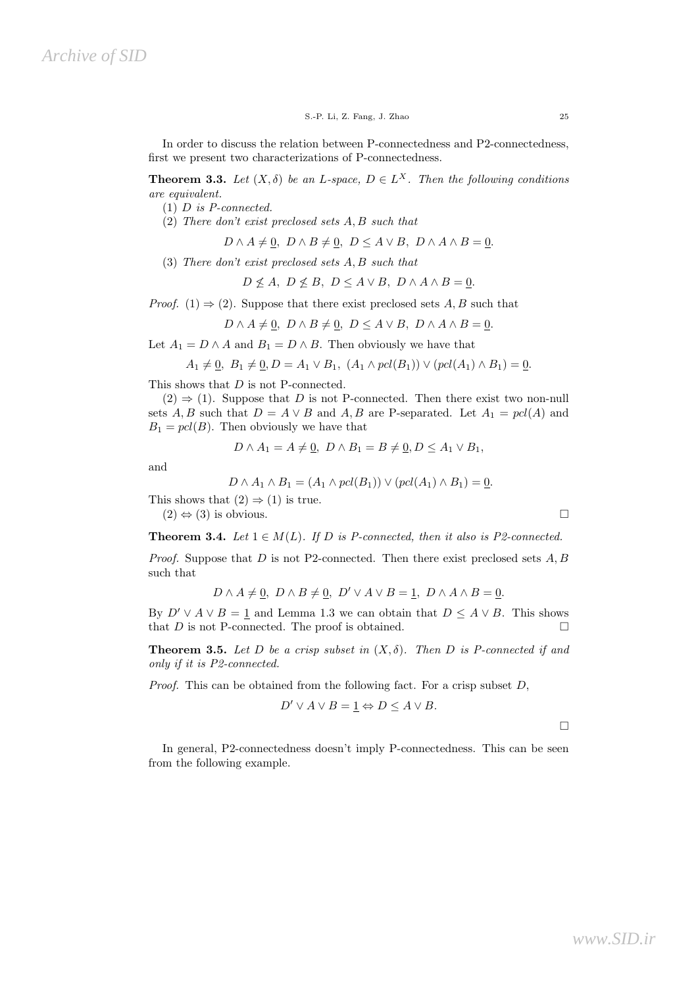S.-P. Li, Z. Fang, J. Zhao 25

In order to discuss the relation between P-connectedness and P2-connectedness, first we present two characterizations of P-connectedness.

**Theorem 3.3.** Let  $(X, \delta)$  be an L-space,  $D \in L^X$ . Then the following conditions are equivalent.

- (1) D is P-connected.
- (2) There don't exist preclosed sets A, B such that

 $D \wedge A \neq 0$ ,  $D \wedge B \neq 0$ ,  $D \leq A \vee B$ ,  $D \wedge A \wedge B = 0$ .

(3) There don't exist preclosed sets A, B such that

$$
D \nleq A, \ D \nleq B, \ D \leq A \lor B, \ D \land A \land B = \underline{0}.
$$

*Proof.* (1)  $\Rightarrow$  (2). Suppose that there exist preclosed sets A, B such that

$$
D \wedge A \neq \underline{0}, \ D \wedge B \neq \underline{0}, \ D \leq A \vee B, \ D \wedge A \wedge B = \underline{0}.
$$

Let  $A_1 = D \wedge A$  and  $B_1 = D \wedge B$ . Then obviously we have that

$$
A_1 \neq 0, \ B_1 \neq 0, D = A_1 \vee B_1, \ (A_1 \wedge pcl(B_1)) \vee (pcl(A_1) \wedge B_1) = 0.
$$

This shows that  $D$  is not P-connected.

 $(2) \Rightarrow (1)$ . Suppose that D is not P-connected. Then there exist two non-null sets A, B such that  $D = A \vee B$  and A, B are P-separated. Let  $A_1 = pcl(A)$  and  $B_1 = pcl(B)$ . Then obviously we have that

$$
D \wedge A_1 = A \neq \underline{0}, \ D \wedge B_1 = B \neq \underline{0}, D \leq A_1 \vee B_1,
$$

and

$$
D \wedge A_1 \wedge B_1 = (A_1 \wedge pcl(B_1)) \vee (pcl(A_1) \wedge B_1) = \underline{0}.
$$

This shows that  $(2) \Rightarrow (1)$  is true.

 $(2) \Leftrightarrow (3)$  is obvious.

**Theorem 3.4.** Let  $1 \in M(L)$ . If D is P-connected, then it also is P2-connected.

*Proof.* Suppose that D is not P2-connected. Then there exist preclosed sets  $A, B$ such that

$$
D \wedge A \neq \underline{0}, \ D \wedge B \neq \underline{0}, \ D' \vee A \vee B = \underline{1}, \ D \wedge A \wedge B = \underline{0}.
$$

By  $D' \vee A \vee B = 1$  and Lemma 1.3 we can obtain that  $D \leq A \vee B$ . This shows that  $D$  is not P-connected. The proof is obtained.  $\square$ 

**Theorem 3.5.** Let D be a crisp subset in  $(X, \delta)$ . Then D is P-connected if and only if it is P2-connected.

*Proof.* This can be obtained from the following fact. For a crisp subset  $D$ ,

$$
D' \vee A \vee B = \underline{1} \Leftrightarrow D \le A \vee B.
$$

 $\Box$ 

In general, P2-connectedness doesn't imply P-connectedness. This can be seen from the following example.